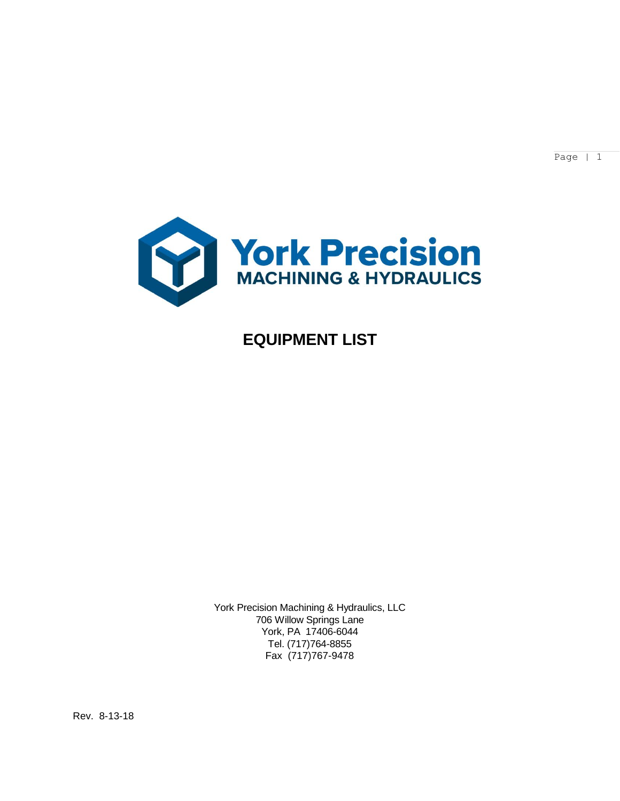Page | 1



# **EQUIPMENT LIST**

York Precision Machining & Hydraulics, LLC 706 Willow Springs Lane York, PA 17406-6044 Tel. (717)764-8855 Fax (717)767-9478

Rev. 8-13-18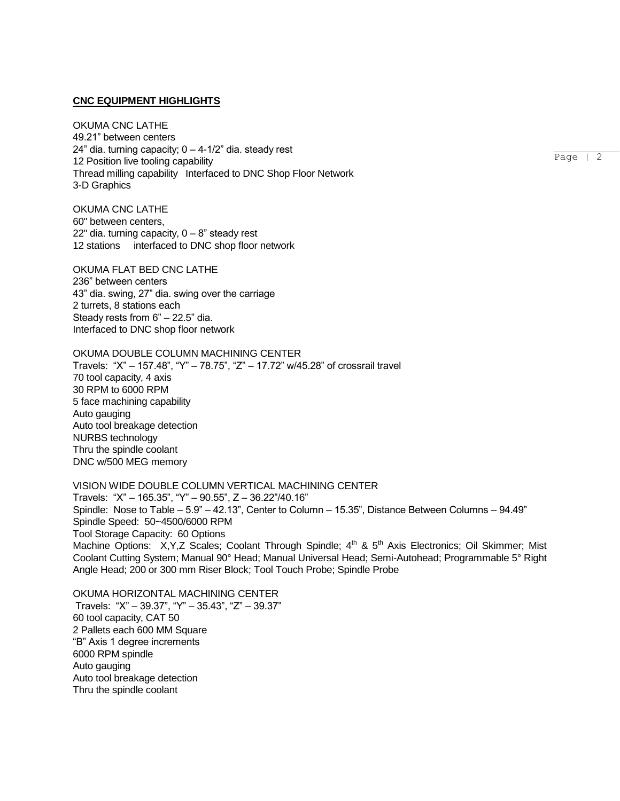#### **CNC EQUIPMENT HIGHLIGHTS**

OKUMA CNC LATHE 49.21" between centers 24" dia. turning capacity;  $0 - 4-1/2$ " dia. steady rest 12 Position live tooling capability Thread milling capability Interfaced to DNC Shop Floor Network 3-D Graphics

OKUMA CNC LATHE 60" between centers, 22" dia. turning capacity,  $0 - 8$ " steady rest 12 stations interfaced to DNC shop floor network

OKUMA FLAT BED CNC LATHE 236" between centers 43" dia. swing, 27" dia. swing over the carriage 2 turrets, 8 stations each Steady rests from 6" – 22.5" dia. Interfaced to DNC shop floor network

OKUMA DOUBLE COLUMN MACHINING CENTER Travels: "X" – 157.48", "Y" – 78.75", "Z" – 17.72" w/45.28" of crossrail travel 70 tool capacity, 4 axis 30 RPM to 6000 RPM 5 face machining capability Auto gauging Auto tool breakage detection NURBS technology Thru the spindle coolant DNC w/500 MEG memory

VISION WIDE DOUBLE COLUMN VERTICAL MACHINING CENTER Travels: "X" – 165.35", "Y" – 90.55", Z – 36.22"/40.16" Spindle: Nose to Table – 5.9" – 42.13", Center to Column – 15.35", Distance Between Columns – 94.49" Spindle Speed: 50~4500/6000 RPM Tool Storage Capacity: 60 Options Machine Options: X, Y, Z Scales; Coolant Through Spindle; 4<sup>th</sup> & 5<sup>th</sup> Axis Electronics; Oil Skimmer; Mist Coolant Cutting System; Manual 90° Head; Manual Universal Head; Semi-Autohead; Programmable 5° Right Angle Head; 200 or 300 mm Riser Block; Tool Touch Probe; Spindle Probe

OKUMA HORIZONTAL MACHINING CENTER Travels: "X" – 39.37", "Y" – 35.43", "Z" – 39.37" 60 tool capacity, CAT 50 2 Pallets each 600 MM Square "B" Axis 1 degree increments 6000 RPM spindle Auto gauging Auto tool breakage detection Thru the spindle coolant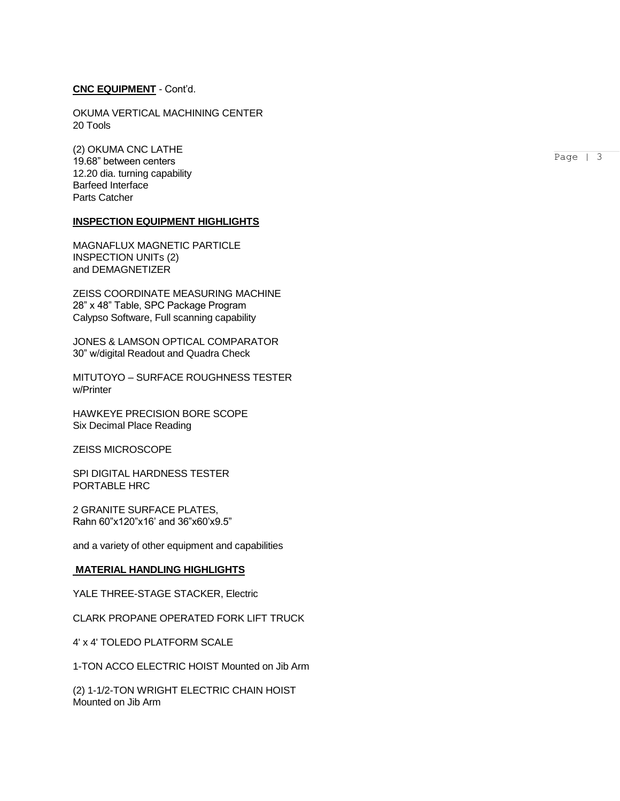## **CNC EQUIPMENT** - Cont'd.

OKUMA VERTICAL MACHINING CENTER 20 Tools

(2) OKUMA CNC LATHE 19.68" between centers 12.20 dia. turning capability Barfeed Interface Parts Catcher

## **INSPECTION EQUIPMENT HIGHLIGHTS**

MAGNAFLUX MAGNETIC PARTICLE INSPECTION UNITs (2) and DEMAGNETIZER

ZEISS COORDINATE MEASURING MACHINE 28" x 48" Table, SPC Package Program Calypso Software, Full scanning capability

JONES & LAMSON OPTICAL COMPARATOR 30" w/digital Readout and Quadra Check

MITUTOYO – SURFACE ROUGHNESS TESTER w/Printer

HAWKEYE PRECISION BORE SCOPE Six Decimal Place Reading

ZEISS MICROSCOPE

SPI DIGITAL HARDNESS TESTER PORTABLE HRC

2 GRANITE SURFACE PLATES, Rahn 60"x120"x16' and 36"x60'x9.5"

and a variety of other equipment and capabilities

### **MATERIAL HANDLING HIGHLIGHTS**

YALE THREE-STAGE STACKER, Electric

CLARK PROPANE OPERATED FORK LIFT TRUCK

4' x 4' TOLEDO PLATFORM SCALE

1-TON ACCO ELECTRIC HOIST Mounted on Jib Arm

(2) 1-1/2-TON WRIGHT ELECTRIC CHAIN HOIST Mounted on Jib Arm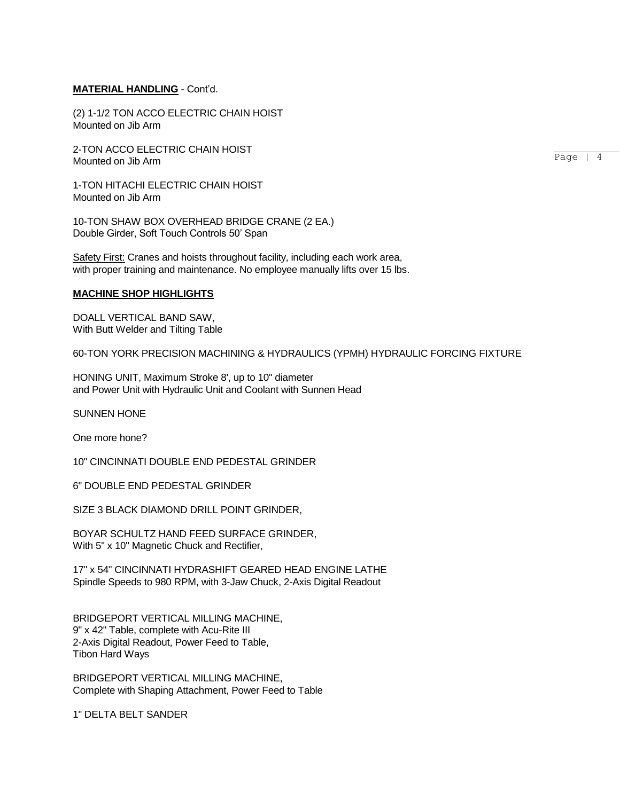## **MATERIAL HANDLING** - Cont'd.

(2) 1-1/2 TON ACCO ELECTRIC CHAIN HOIST Mounted on Jib Arm

2-TON ACCO ELECTRIC CHAIN HOIST Mounted on Jib Arm

1-TON HITACHI ELECTRIC CHAIN HOIST Mounted on Jib Arm

10-TON SHAW BOX OVERHEAD BRIDGE CRANE (2 EA.) Double Girder, Soft Touch Controls 50' Span

Safety First: Cranes and hoists throughout facility, including each work area, with proper training and maintenance. No employee manually lifts over 15 lbs.

### **MACHINE SHOP HIGHLIGHTS**

DOALL VERTICAL BAND SAW, With Butt Welder and Tilting Table

60-TON YORK PRECISION MACHINING & HYDRAULICS (YPMH) HYDRAULIC FORCING FIXTURE

HONING UNIT, Maximum Stroke 8', up to 10" diameter and Power Unit with Hydraulic Unit and Coolant with Sunnen Head

SUNNEN HONE

One more hone?

10" CINCINNATI DOUBLE END PEDESTAL GRINDER

6" DOUBLE END PEDESTAL GRINDER

SIZE 3 BLACK DIAMOND DRILL POINT GRINDER,

BOYAR SCHULTZ HAND FEED SURFACE GRINDER, With 5" x 10" Magnetic Chuck and Rectifier,

17" x 54" CINCINNATI HYDRASHIFT GEARED HEAD ENGINE LATHE Spindle Speeds to 980 RPM, with 3-Jaw Chuck, 2-Axis Digital Readout

BRIDGEPORT VERTICAL MILLING MACHINE, 9" x 42" Table, complete with Acu-Rite III 2-Axis Digital Readout, Power Feed to Table, Tibon Hard Ways

BRIDGEPORT VERTICAL MILLING MACHINE, Complete with Shaping Attachment, Power Feed to Table

1" DELTA BELT SANDER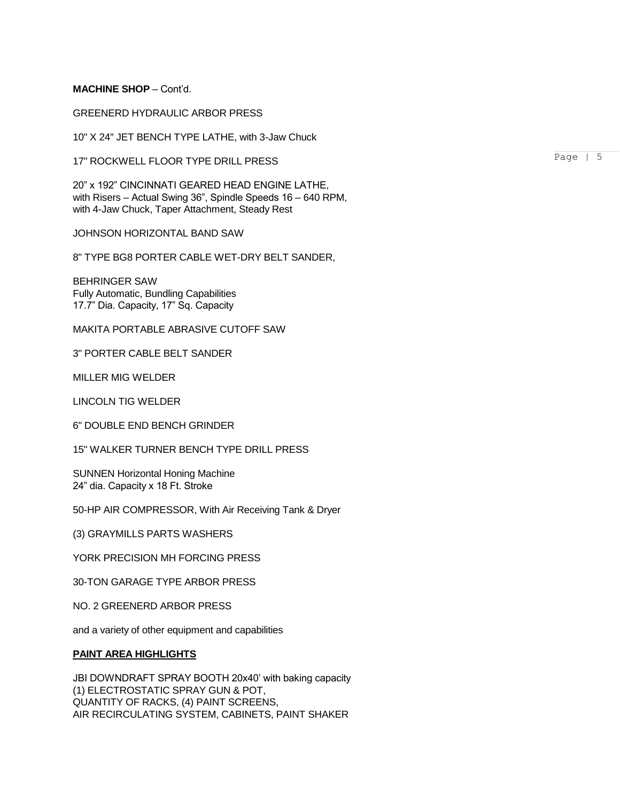## **MACHINE SHOP** – Cont'd.

## GREENERD HYDRAULIC ARBOR PRESS

10" X 24" JET BENCH TYPE LATHE, with 3-Jaw Chuck

17" ROCKWELL FLOOR TYPE DRILL PRESS

20" x 192" CINCINNATI GEARED HEAD ENGINE LATHE, with Risers – Actual Swing 36", Spindle Speeds 16 – 640 RPM, with 4-Jaw Chuck, Taper Attachment, Steady Rest

JOHNSON HORIZONTAL BAND SAW

8" TYPE BG8 PORTER CABLE WET-DRY BELT SANDER,

BEHRINGER SAW Fully Automatic, Bundling Capabilities 17.7" Dia. Capacity, 17" Sq. Capacity

MAKITA PORTABLE ABRASIVE CUTOFF SAW

3" PORTER CABLE BELT SANDER

MILLER MIG WELDER

LINCOLN TIG WELDER

6" DOUBLE END BENCH GRINDER

15" WALKER TURNER BENCH TYPE DRILL PRESS

SUNNEN Horizontal Honing Machine 24" dia. Capacity x 18 Ft. Stroke

50-HP AIR COMPRESSOR, With Air Receiving Tank & Dryer

(3) GRAYMILLS PARTS WASHERS

YORK PRECISION MH FORCING PRESS

30-TON GARAGE TYPE ARBOR PRESS

NO. 2 GREENERD ARBOR PRESS

and a variety of other equipment and capabilities

### **PAINT AREA HIGHLIGHTS**

JBI DOWNDRAFT SPRAY BOOTH 20x40' with baking capacity (1) ELECTROSTATIC SPRAY GUN & POT, QUANTITY OF RACKS, (4) PAINT SCREENS, AIR RECIRCULATING SYSTEM, CABINETS, PAINT SHAKER